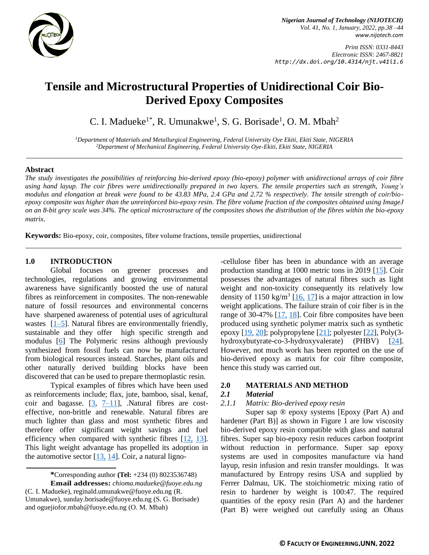

*Nigerian Journal of Technology (NIJOTECH) Vol. 41, No. 1, January, 2022, pp.38 –44 [www.nijotech.com](http://www.nijotech.com/)*

*Print ISSN: 0331-8443 Electronic ISSN: 2467-8821 http://dx.doi.org/10.4314/njt.v41i1.6*

# **Tensile and Microstructural Properties of Unidirectional Coir Bio-Derived Epoxy Composites**

C. I. Madueke<sup>1\*</sup>, R. Umunakwe<sup>1</sup>, S. G. Borisade<sup>1</sup>, O. M. Mbah<sup>2</sup>

*<sup>1</sup>Department of Materials and Metallurgical Engineering, Federal University Oye Ekiti, Ekiti State, NIGERIA <sup>2</sup>Department of Mechanical Engineering, Federal University Oye-Ekiti, Ekiti State, NIGERIA*

#### **Abstract**

*The study investigates the possibilities of reinforcing bio-derived epoxy (bio-epoxy) polymer with unidirectional arrays of coir fibre using hand layup. The coir fibres were unidirectionally prepared in two layers. The tensile properties such as strength, Young's modulus and elongation at break were found to be 43.83 MPa, 2.4 GPa and 2.72 % respectively. The tensile strength of coir/bioepoxy composite was higher than the unreinforced bio-epoxy resin. The fibre volume fraction of the composites obtained using ImageJ on an 8-bit grey scale was 34%. The optical microstructure of the composites shows the distribution of the fibres within the bio-epoxy matrix.*

**Keywords:** Bio-epoxy, coir, composites, fibre volume fractions, tensile properties, unidirectional

#### **1.0 INTRODUCTION**

Global focuses on greener processes and technologies, regulations and growing environmental awareness have significantly boosted the use of natural fibres as reinforcement in composites. The non-renewable nature of fossil resources and environmental concerns have sharpened awareness of potential uses of agricultural wastes  $[1–5]$  $[1–5]$ . Natural fibres are environmentally friendly, sustainable and they offer high specific strength and modulus [\[6\]](#page-5-2) The Polymeric resins although previously synthesized from fossil fuels can now be manufactured from biological resources instead. Starches, plant oils and other naturally derived building blocks have been discovered that can be used to prepare thermoplastic resin.

Typical examples of fibres which have been used as reinforcements include; flax, jute, bamboo, sisal, kenaf, coir and bagasse.  $[3, 7-11]$  $[3, 7-11]$ , .Natural fibres are costeffective, non-brittle and renewable. Natural fibres are much lighter than glass and most synthetic fibres and therefore offer significant weight savings and fuel efficiency when compared with synthetic fibres  $[12, 13]$  $[12, 13]$  $[12, 13]$ . This light weight advantage has propelled its adoption in the automotive sector  $[13, 14]$  $[13, 14]$  $[13, 14]$ . Coir, a natural ligno-

**Email addresses:** *[chioma.madueke@fuoye.edu.ng](mailto:chioma.madueke@fuoye.edu.ng)* (C. I. Madueke), [reginald.umunakwe@fuoye.edu.ng](mailto:reginald.umunakwe@fuoye.edu.ng) (R. Umunakwe)[, sunday.borisade@fuoye.edu.ng](mailto:sunday.borisade@fuoye.edu.ng) (S. G. Borisade) and [oguejiofor.mbah@fuoye.edu.ng](mailto:oguejiofor.mbah@fuoye.edu.ng) (O. M. Mbah)

-cellulose fiber has been in abundance with an average production standing at 1000 metric tons in 2019 [\[15\]](#page-5-8). Coir possesses the advantages of natural fibres such as light weight and non-toxicity consequently its relatively low density of 1150 kg/m<sup>3</sup>  $[16, 17]$  $[16, 17]$  $[16, 17]$  is a major attraction in low weight applications. The failure strain of coir fiber is in the range of 30-47%  $[17, 18]$  $[17, 18]$  $[17, 18]$ . Coir fibre composites have been produced using synthetic polymer matrix such as synthetic epoxy [\[19,](#page-5-12) [20\]](#page-5-13); polypropylene [\[21\];](#page-5-14) polyester [\[22\]](#page-5-15), Poly(3- hydroxybutyrate-co-3-hydroxyvalerate) (PHBV) [\[24\]](#page-5-16). However, not much work has been reported on the use of bio-derived epoxy as matrix for coir fibre composite, hence this study was carried out.

## **2.0 MATERIALS AND METHOD**

#### *2.1 Material*

#### *2.1.1 Matrix: Bio-derived epoxy resin*

Super sap ® epoxy systems [Epoxy (Part A) and hardener (Part B)] as shown in Figure 1 are low viscosity bio-derived epoxy resin compatible with glass and natural fibres. Super sap bio-epoxy resin reduces carbon footprint without reduction in performance. Super sap epoxy systems are used in composites manufacture via hand layup, resin infusion and resin transfer mouldings. It was manufactured by Entropy resins USA and supplied by Ferrer Dalmau, UK. The stoichiometric mixing ratio of resin to hardener by weight is 100:47. The required quantities of the epoxy resin (Part A) and the hardener (Part B) were weighed out carefully using an Ohaus

**<sup>\*</sup>**Corresponding author **[\(Te](mailto:samnnaemeka.ugwu@unn.edu.ng)l:** +234 (0) 8023536748)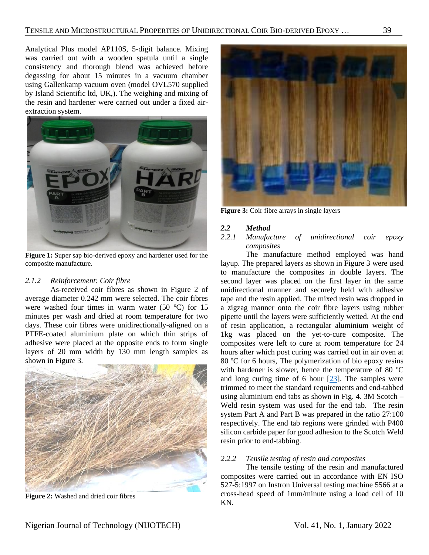Analytical Plus model AP110S, 5-digit balance. Mixing was carried out with a wooden spatula until a single consistency and thorough blend was achieved before degassing for about 15 minutes in a vacuum chamber using Gallenkamp vacuum oven (model OVL570 supplied by Island Scientific ltd, UK,). The weighing and mixing of the resin and hardener were carried out under a fixed airextraction system.



**Figure 1:** Super sap bio-derived epoxy and hardener used for the composite manufacture.

#### *2.1.2 Reinforcement: Coir fibre*

As-received coir fibres as shown in Figure 2 of average diameter 0.242 mm were selected. The coir fibres were washed four times in warm water  $(50 \degree C)$  for 15 minutes per wash and dried at room temperature for two days. These coir fibres were unidirectionally-aligned on a PTFE-coated aluminium plate on which thin strips of adhesive were placed at the opposite ends to form single layers of 20 mm width by 130 mm length samples as shown in Figure 3.



**Figure 2:** Washed and dried coir fibres



**Figure 3:** Coir fibre arrays in single layers

#### *2.2 Method*

#### *2.2.1 Manufacture of unidirectional coir epoxy composites*

The manufacture method employed was hand layup. The prepared layers as shown in Figure 3 were used to manufacture the composites in double layers. The second layer was placed on the first layer in the same unidirectional manner and securely held with adhesive tape and the resin applied. The mixed resin was dropped in a zigzag manner onto the coir fibre layers using rubber pipette until the layers were sufficiently wetted. At the end of resin application, a rectangular aluminium weight of 1kg was placed on the yet-to-cure composite. The composites were left to cure at room temperature for 24 hours after which post curing was carried out in air oven at 80  $\degree$ C for 6 hours, The polymerization of bio epoxy resins with hardener is slower, hence the temperature of 80  $^{\circ}$ C and long curing time of 6 hour [\[23\]](#page-5-17). The samples were trimmed to meet the standard requirements and end-tabbed using aluminium end tabs as shown in Fig. 4. 3M Scotch – Weld resin system was used for the end tab. The resin system Part A and Part B was prepared in the ratio 27:100 respectively. The end tab regions were grinded with P400 silicon carbide paper for good adhesion to the Scotch Weld resin prior to end-tabbing.

#### *2.2.2 Tensile testing of resin and composites*

The tensile testing of the resin and manufactured composites were carried out in accordance with EN ISO 527-5:1997 on Instron Universal testing machine 5566 at a cross-head speed of 1mm/minute using a load cell of 10 KN.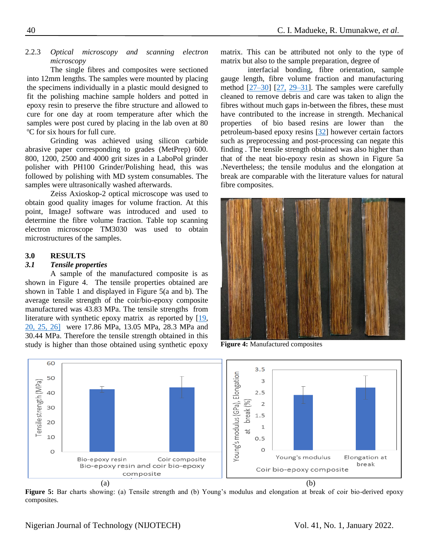## 2.2.3 *Optical microscopy and scanning electron microscopy*

The single fibres and composites were sectioned into 12mm lengths. The samples were mounted by placing the specimens individually in a plastic mould designed to fit the polishing machine sample holders and potted in epoxy resin to preserve the fibre structure and allowed to cure for one day at room temperature after which the samples were post cured by placing in the lab oven at 80 <sup>o</sup>C for six hours for full cure.

Grinding was achieved using silicon carbide abrasive paper corresponding to grades (MetPrep) 600. 800, 1200, 2500 and 4000 grit sizes in a LaboPol grinder polisher with PH100 Grinder/Polishing head, this was followed by polishing with MD system consumables. The samples were ultrasonically washed afterwards.

Zeiss Axioskop-2 optical microscope was used to obtain good quality images for volume fraction. At this point, ImageJ software was introduced and used to determine the fibre volume fraction. Table top scanning electron microscope TM3030 was used to obtain microstructures of the samples.

## **3.0 RESULTS**

#### *3.1 Tensile properties*

A sample of the manufactured composite is as shown in Figure 4. The tensile properties obtained are shown in Table 1 and displayed in Figure 5(a and b). The average tensile strength of the coir/bio-epoxy composite manufactured was 43.83 MPa. The tensile strengths from literature with synthetic epoxy matrix as reported by [\[19,](#page-5-12) [20,](#page-5-13) [25,](#page-5-18) [26\]](#page-6-0) were 17.86 MPa, 13.05 MPa, 28.3 MPa and 30.44 MPa. Therefore the tensile strength obtained in this study is higher than those obtained using synthetic epoxy matrix. This can be attributed not only to the type of matrix but also to the sample preparation, degree of

interfacial bonding, fibre orientation, sample gauge length, fibre volume fraction and manufacturing method [\[27–30\]](#page-6-1) [\[27,](#page-6-1) [29–31\]](#page-6-2). The samples were carefully cleaned to remove debris and care was taken to align the fibres without much gaps in-between the fibres, these must have contributed to the increase in strength. Mechanical properties of bio based resins are lower than the petroleum-based epoxy resins [\[32\]](#page-6-3) however certain factors such as preprocessing and post-processing can negate this finding . The tensile strength obtained was also higher than that of the neat bio-epoxy resin as shown in Figure 5a .Nevertheless; the tensile modulus and the elongation at break are comparable with the literature values for natural fibre composites.



**Figure 4:** Manufactured composites



**Figure 5:** Bar charts showing: (a) Tensile strength and (b) Young's modulus and elongation at break of coir bio-derived epoxy composites.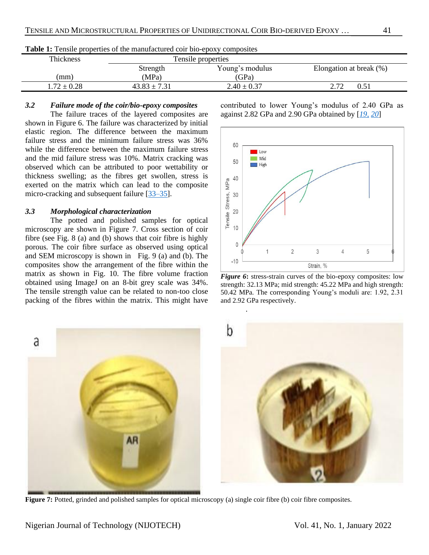|                  | $-$ which is a contributed to the contribution of the interaction of the contribution of the contribution of the contribution of the contribution of the contribution of the contribution of the contribution of the contribu |                 |                            |
|------------------|-------------------------------------------------------------------------------------------------------------------------------------------------------------------------------------------------------------------------------|-----------------|----------------------------|
| <b>Thickness</b> | Tensile properties                                                                                                                                                                                                            |                 |                            |
|                  | Strength                                                                                                                                                                                                                      | Young's modulus | Elongation at break $(\%)$ |
| (mm)             | (MPa)                                                                                                                                                                                                                         | GPa)            |                            |
| $1.72 \pm 0.28$  | $43.83 \pm 7.31$                                                                                                                                                                                                              | $2.40 \pm 0.37$ | 0.51                       |

#### **Table 1:** Tensile properties of the manufactured coir bio-epoxy composites

## *3.2 Failure mode of the coir/bio-epoxy composites*

The failure traces of the layered composites are shown in Figure 6. The failure was characterized by initial elastic region. The difference between the maximum failure stress and the minimum failure stress was 36% while the difference between the maximum failure stress and the mid failure stress was 10%. Matrix cracking was observed which can be attributed to poor wettability or thickness swelling; as the fibres get swollen, stress is exerted on the matrix which can lead to the composite micro-cracking and subsequent failure [\[33–35\]](#page-6-4).

#### *3.3 Morphological characterization*

The potted and polished samples for optical microscopy are shown in Figure 7. Cross section of coir fibre (see Fig. 8 (a) and (b) shows that coir fibre is highly porous. The coir fibre surface as observed using optical and SEM microscopy is shown in Fig. 9 (a) and (b). The composites show the arrangement of the fibre within the matrix as shown in Fig. 10. The fibre volume fraction obtained using ImageJ on an 8-bit grey scale was 34%. The tensile strength value can be related to non-too close packing of the fibres within the matrix. This might have

contributed to lower Young's modulus of 2.40 GPa as against 2.82 GPa and 2.90 GPa obtained by [*[19,](#page-5-12) [20](#page-5-13)*]



*Figure 6***:** stress-strain curves of the bio-epoxy composites: low strength: 32.13 MPa; mid strength: 45.22 MPa and high strength: 50.42 MPa. The corresponding Young's moduli are: 1.92, 2.31 and 2.92 GPa respectively.



*.*

**Figure 7:** Potted, grinded and polished samples for optical microscopy (a) single coir fibre (b) coir fibre composites.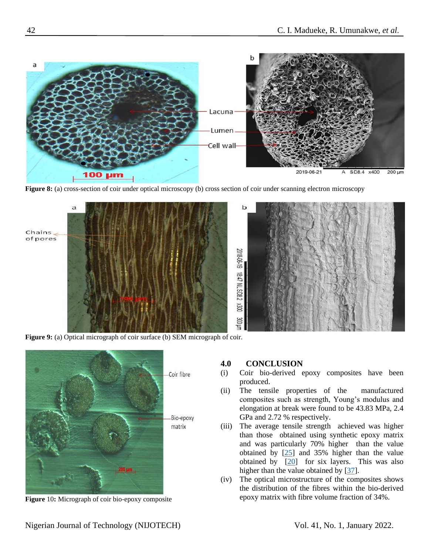

**Figure 8:** (a) cross-section of coir under optical microscopy (b) cross section of coir under scanning electron microscopy



**Figure 9:** (a) Optical micrograph of coir surface (b) SEM micrograph of coir.



**Figure** 10**:** Micrograph of coir bio-epoxy composite

## **4.0 CONCLUSION**

- (i) Coir bio-derived epoxy composites have been produced.
- (ii) The tensile properties of the manufactured composites such as strength, Young's modulus and elongation at break were found to be 43.83 MPa, 2.4 GPa and 2.72 % respectively.
- (iii) The average tensile strength achieved was higher than those obtained using synthetic epoxy matrix and was particularly 70% higher than the value obtained by [\[25\]](#page-5-18) and 35% higher than the value obtained by  $[20]$  for six layers. This was also higher than the value obtained by [\[37\]](#page-6-5).
- (iv) The optical microstructure of the composites shows the distribution of the fibres within the bio-derived epoxy matrix with fibre volume fraction of 34%.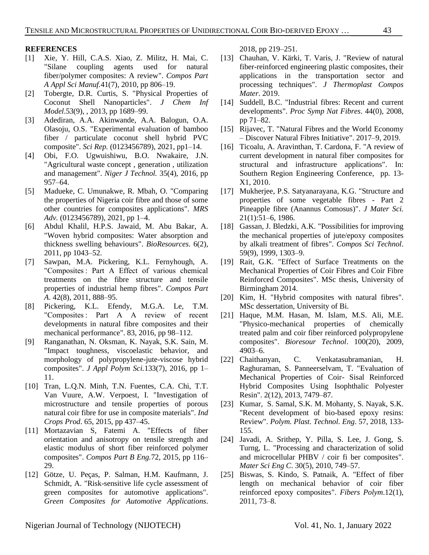#### **REFERENCES**

- <span id="page-5-0"></span>[1] Xie, Y. Hill, C.A.S. Xiao, Z. Militz, H. Mai, C. "Silane coupling agents used for natural fiber/polymer composites: A review". *Compos Part A Appl Sci Manuf.*41(7), 2010, pp 806–19.
- [2] Tobergte, D.R. Curtis, S. "Physical Properties of Coconut Shell Nanoparticles". *J Chem Inf Model*.53(9), , 2013, pp 1689–99.
- <span id="page-5-3"></span>[3] Adediran, A.A. Akinwande, A.A. Balogun, O.A. Olasoju, O.S. "Experimental evaluation of bamboo fiber / particulate coconut shell hybrid PVC composite". *Sci Rep.* (0123456789), 2021, pp1–14.
- [4] Obi, F.O. Ugwuishiwu, B.O. Nwakaire, J.N. "Agricultural waste concept , generation , utilization and management". *Niger J Technol.* 35(4), 2016, pp 957–64.
- <span id="page-5-1"></span>[5] Madueke, C. Umunakwe, R. Mbah, O. "Comparing the properties of Nigeria coir fibre and those of some other countries for composites applications". *MRS Adv.* (0123456789), 2021, pp 1–4.
- <span id="page-5-2"></span>[6] Abdul Khalil, H.P.S. Jawaid, M. Abu Bakar, A. "Woven hybrid composites: Water absorption and thickness swelling behaviours". *BioResources.* 6(2), 2011, pp 1043–52.
- <span id="page-5-4"></span>[7] Sawpan, M.A. Pickering, K.L. Fernyhough, A. "Composites : Part A Effect of various chemical treatments on the fibre structure and tensile properties of industrial hemp fibres". *Compos Part A*. 42(8), 2011, 888–95.
- [8] Pickering, K.L. Efendy, M.G.A. Le, T.M. "Composites : Part A A review of recent developments in natural fibre composites and their mechanical performance". 83, 2016, pp 98–112.
- [9] Ranganathan, N. Oksman, K. Nayak, S.K. Sain, M. "Impact toughness, viscoelastic behavior, and morphology of polypropylene-jute-viscose hybrid composites". *J Appl Polym Sci.*133(7), 2016, pp 1– 11.
- [10] Tran, L.O.N. Minh, T.N. Fuentes, C.A. Chi, T.T. Van Vuure, A.W. Verpoest, I. "Investigation of microstructure and tensile properties of porous natural coir fibre for use in composite materials". *Ind Crops Prod*. 65, 2015, pp 437–45.
- [11] Mortazavian S, Fatemi A. "Effects of fiber orientation and anisotropy on tensile strength and elastic modulus of short fiber reinforced polymer composites". *Compos Part B Eng.*72, 2015, pp 116– 29.
- <span id="page-5-5"></span>[12] Götze, U. Peças, P. Salman, H.M. Kaufmann, J. Schmidt, A. "Risk-sensitive life cycle assessment of green composites for automotive applications". *Green Composites for Automotive Applications*.

2018, pp 219–251.

- <span id="page-5-6"></span>[13] Chauhan, V. Kärki, T. Varis, J. "Review of natural fiber-reinforced engineering plastic composites, their applications in the transportation sector and processing techniques". *J Thermoplast Compos Mater*. 2019.
- <span id="page-5-7"></span>[14] Suddell, B.C. "Industrial fibres: Recent and current developments". *Proc Symp Nat Fibres*. 44(0), 2008, pp 71–82.
- <span id="page-5-8"></span>[15] Rijavec, T. "Natural Fibres and the World Economy – Discover Natural Fibres Initiative". 2017–9, 2019.
- <span id="page-5-9"></span>[16] Ticoalu, A. Aravinthan, T. Cardona, F. "A review of current development in natural fiber composites for structural and infrastructure applications". In: Southern Region Engineering Conference, pp. 13- X1, 2010.
- <span id="page-5-10"></span>[17] Mukherjee, P.S. Satyanarayana, K.G. "Structure and properties of some vegetable fibres - Part 2 Pineapple fibre (Anannus Comosus)". *J Mater Sci.* 21(1):51–6, 1986.
- <span id="page-5-11"></span>[18] Gassan, J. Bledzki, A.K. "Possibilities for improving the mechanical properties of jute/epoxy composites by alkali treatment of fibres". *Compos Sci Technol*. 59(9), 1999, 1303–9.
- <span id="page-5-12"></span>[19] Rait, G.K. "Effect of Surface Treatments on the Mechanical Properties of Coir Fibres and Coir Fibre Reinforced Composites". MSc thesis, University of Birmingham 2014.
- <span id="page-5-13"></span>[20] Kim, H. "Hybrid composites with natural fibres". MSc dessertation, University of Bi.
- <span id="page-5-14"></span>[21] Haque, M.M. Hasan, M. Islam, M.S. Ali, M.E. "Physico-mechanical properties of chemically treated palm and coir fiber reinforced polypropylene composites". *Bioresour Technol*. 100(20), 2009, 4903–6.
- <span id="page-5-15"></span>[22] Chaithanyan, C. Venkatasubramanian, H. Raghuraman, S. Panneerselvam, T. "Evaluation of Mechanical Properties of Coir- Sisal Reinforced Hybrid Composites Using Isophthalic Polyester Resin". 2(12), 2013, 7479–87.
- <span id="page-5-17"></span>[23] Kumar, S. Samal, S.K. M. Mohanty, S. Nayak, S.K. "Recent development of bio-based epoxy resins: Review". *Polym. Plast. Technol. Eng*. 57, 2018, 133- 155.
- <span id="page-5-16"></span>[24] Javadi, A. Srithep, Y. Pilla, S. Lee, J. Gong, S. Turng, L. "Processing and characterization of solid and microcellular PHBV / coir fi ber composites". *Mater Sci Eng C*. 30(5), 2010, 749–57.
- <span id="page-5-18"></span>[25] Biswas, S. Kindo, S. Patnaik, A. "Effect of fiber length on mechanical behavior of coir fiber reinforced epoxy composites". *Fibers Polym*.12(1), 2011, 73–8.